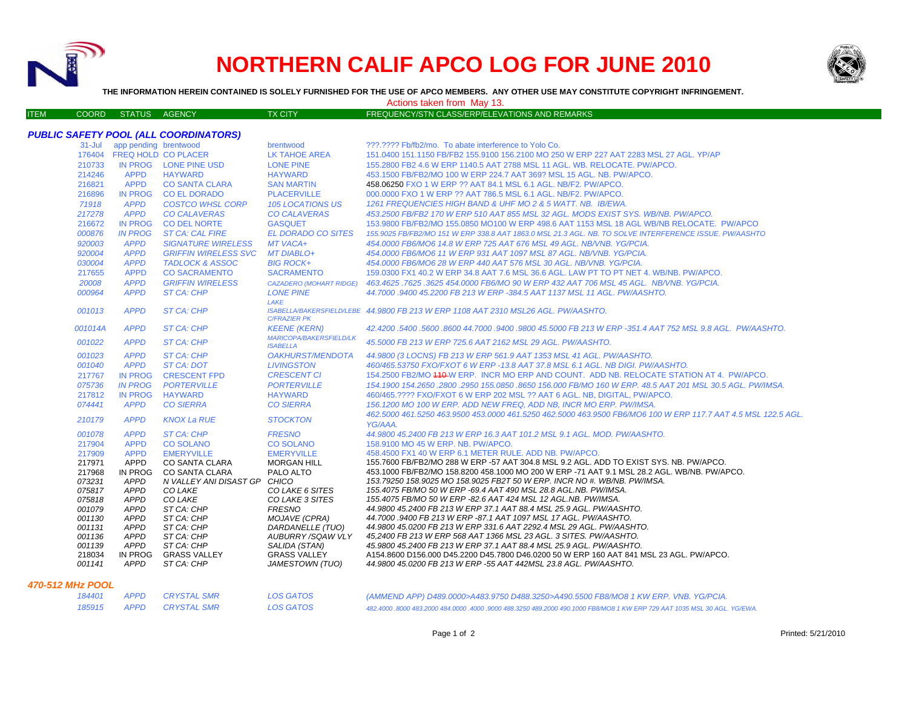

## **NORTHERN CALIF APCO LOG FOR JUNE 2010**



**THE INFORMATION HEREIN CONTAINED IS SOLELY FURNISHED FOR THE USE OF APCO MEMBERS. ANY OTHER USE MAY CONSTITUTE COPYRIGHT INFRINGEMENT.**

ITEM COORD STATUS AGENCY TX CITY FREQUENCY/STN CLASS/ERP/ELEVATIONS AND REMARKS

Actions taken from May 13.

## *PUBLIC SAFETY POOL (ALL COORDINATORS)*

|                         | 31-Jul app pending brentwood |                                                | brentwood                                      | ???.???? Fb/fb2/mo. To abate interference to Yolo Co.                                                                                            |
|-------------------------|------------------------------|------------------------------------------------|------------------------------------------------|--------------------------------------------------------------------------------------------------------------------------------------------------|
|                         |                              | 176404 FREQ HOLD CO PLACER                     | LK TAHOE AREA                                  | 151.0400 151.1150 FB/FB2 155.9100 156.2100 MO 250 W ERP 227 AAT 2283 MSL 27 AGL, YP/AP                                                           |
| 210733                  |                              | IN PROG LONE PINE USD                          | <b>LONE PINE</b>                               | 155,2800 FB2 4.6 W ERP 1140.5 AAT 2788 MSL 11 AGL, WB, RELOCATE, PW/APCO,                                                                        |
| 214246                  | <b>APPD</b>                  | <b>HAYWARD</b>                                 | <b>HAYWARD</b>                                 | 453.1500 FB/FB2/MO 100 W ERP 224.7 AAT 369? MSL 15 AGL, NB, PW/APCO.                                                                             |
| 216821                  | <b>APPD</b>                  | <b>CO SANTA CLARA</b>                          | <b>SAN MARTIN</b>                              | 458.06250 FXO 1 W ERP ?? AAT 84.1 MSL 6.1 AGL. NB/F2. PW/APCO.                                                                                   |
| 216896                  |                              | <b>CO EL DORADO</b>                            | <b>PLACERVILLE</b>                             |                                                                                                                                                  |
|                         | <b>IN PROG</b>               |                                                |                                                | 000.0000 FXO 1 W ERP ?? AAT 786.5 MSL 6.1 AGL. NB/F2. PW/APCO.                                                                                   |
| 71918                   | <b>APPD</b><br><b>APPD</b>   | <b>COSTCO WHSL CORP</b><br><b>CO CALAVERAS</b> | <b>105 LOCATIONS US</b><br><b>CO CALAVERAS</b> | 1261 FREQUENCIES HIGH BAND & UHF MO 2 & 5 WATT. NB. IB/EWA.<br>453.2500 FB/FB2 170 W ERP 510 AAT 855 MSL 32 AGL. MODS EXIST SYS. WB/NB. PW/APCO. |
| 217278                  |                              |                                                |                                                |                                                                                                                                                  |
| 216672                  | <b>IN PROG</b>               | <b>CO DEL NORTE</b>                            | <b>GASQUET</b>                                 | 153.9800 FB/FB2/MO 155.0850 MO100 W ERP 498.6 AAT 1153 MSL 18 AGL WB/NB RELOCATE. PW/APCO                                                        |
| 000876                  | <b>IN PROG</b>               | <b>ST CA: CAL FIRE</b>                         | <b>EL DORADO CO SITES</b>                      | 155,9025 FB/FB2/MO 151 W ERP 338.8 AAT 1863.0 MSL 21.3 AGL. NB. TO SOLVE INTERFERENCE ISSUE. PW/AASHTO                                           |
| 920003                  | <b>APPD</b>                  | <b>SIGNATURE WIRELESS</b>                      | MT VACA+                                       | 454.0000 FB6/MO6 14.8 W ERP 725 AAT 676 MSL 49 AGL, NB/VNB, YG/PCIA.                                                                             |
| 920004                  | <b>APPD</b>                  | <b>GRIFFIN WIRELESS SVC</b>                    | <b>MT DIABLO+</b>                              | 454,0000 FB6/MO6 11 W ERP 931 AAT 1097 MSL 87 AGL. NB/VNB. YG/PCIA.                                                                              |
| 030004                  | <b>APPD</b>                  | <b>TADLOCK &amp; ASSOC</b>                     | <b>BIG ROCK+</b>                               | 454,0000 FB6/MO6 28 W ERP 440 AAT 576 MSL 30 AGL, NB/VNB, YG/PCIA.                                                                               |
| 217655                  | <b>APPD</b>                  | <b>CO SACRAMENTO</b>                           | <b>SACRAMENTO</b>                              | 159.0300 FX1 40.2 W ERP 34.8 AAT 7.6 MSL 36.6 AGL. LAW PT TO PT NET 4. WB/NB. PW/APCO.                                                           |
| 20008                   | <b>APPD</b>                  | <b>GRIFFIN WIRELESS</b>                        | <b>CAZADERO (MOHART RIDGE)</b>                 | 463.4625 .7625 .3625 454.0000 FB6/MO 90 W ERP 432 AAT 706 MSL 45 AGL. NB/VNB. YG/PCIA.                                                           |
| 000964                  | <b>APPD</b>                  | <b>ST CA: CHP</b>                              | <b>LONE PINE</b>                               | 44.7000 .9400 45.2200 FB 213 W ERP -384.5 AAT 1137 MSL 11 AGL, PW/AASHTO.                                                                        |
|                         |                              |                                                | LAKE                                           |                                                                                                                                                  |
| 001013                  | <b>APPD</b>                  | ST CA: CHP                                     | <b>C/FRAZIER PK</b>                            | ISABELLA/BAKERSFIELD/LEBE 44.9800 FB 213 W ERP 1108 AAT 2310 MSL26 AGL. PW/AASHTO.                                                               |
| 001014A                 | <b>APPD</b>                  | <b>ST CA: CHP</b>                              | <b>KEENE (KERN)</b>                            | 42.4200.5400.5600.8600.44.7000.9400.9800.45.5000 FB 213 W ERP -351.4 AAT 752 MSL 9.8 AGL. PW/AASHTO.                                             |
|                         |                              |                                                | MARICOPA/BAKERSFIELD/LK                        |                                                                                                                                                  |
| 001022                  | <b>APPD</b>                  | <b>ST CA: CHP</b>                              | <b>ISABELLA</b>                                | 45.5000 FB 213 W ERP 725.6 AAT 2162 MSL 29 AGL, PW/AASHTO,                                                                                       |
| 001023                  | <b>APPD</b>                  | ST CA: CHP                                     | <b>OAKHURST/MENDOTA</b>                        | 44.9800 (3 LOCNS) FB 213 W ERP 561.9 AAT 1353 MSL 41 AGL. PW/AASHTO.                                                                             |
| 001040                  | <b>APPD</b>                  | ST CA: DOT                                     | <b>LIVINGSTON</b>                              | 460/465.53750 FXO/FXOT 6 W ERP -13.8 AAT 37.8 MSL 6.1 AGL. NB DIGI. PW/AASHTO.                                                                   |
| 217767                  | <b>IN PROG</b>               | <b>CRESCENT FPD</b>                            | <b>CRESCENT CI</b>                             | 154.2500 FB2/MO 410 W ERP. INCR MO ERP AND COUNT. ADD NB. RELOCATE STATION AT 4. PW/APCO.                                                        |
| 075736                  | <b>IN PROG</b>               | <b>PORTERVILLE</b>                             | <b>PORTERVILLE</b>                             | 154.1900 154.2650 .2800 .2950 155.0850 .8650 156.000 FB/MO 160 W ERP. 48.5 AAT 201 MSL 30.5 AGL. PW/IMSA.                                        |
| 217812                  | <b>IN PROG</b>               | <b>HAYWARD</b>                                 | <b>HAYWARD</b>                                 | 460/465.???? FXO/FXOT 6 W ERP 202 MSL ?? AAT 6 AGL, NB, DIGITAL, PW/APCO,                                                                        |
| 074441                  | <b>APPD</b>                  | <b>CO SIERRA</b>                               | <b>CO SIERRA</b>                               | 156.1200 MO 100 W ERP. ADD NEW FREQ. ADD NB. INCR MO ERP. PW/IMSA.                                                                               |
| 210179                  | <b>APPD</b>                  | <b>KNOX La RUE</b>                             | <b>STOCKTON</b>                                | 462,5000 461,5250 463,9500 453,0000 461,5250 462,5000 463,9500 FB6/MO6 100 W ERP 117,7 AAT 4.5 MSL 122.5 AGL.                                    |
|                         |                              |                                                |                                                | YG/AAA.                                                                                                                                          |
| 001078                  | <b>APPD</b>                  | <b>ST CA: CHP</b>                              | <b>FRESNO</b>                                  | 44,9800 45,2400 FB 213 W ERP 16.3 AAT 101.2 MSL 9.1 AGL, MOD, PW/AASHTO,                                                                         |
| 217904                  | <b>APPD</b>                  | <b>CO SOLANO</b>                               | <b>CO SOLANO</b>                               | 158.9100 MO 45 W ERP. NB. PW/APCO.                                                                                                               |
| 217909                  | <b>APPD</b>                  | <b>EMERYVILLE</b>                              | <b>EMERYVILLE</b>                              | 458,4500 FX1 40 W ERP 6.1 METER RULE, ADD NB, PW/APCO.                                                                                           |
| 217971                  | APPD                         | CO SANTA CLARA                                 | <b>MORGAN HILL</b>                             | 155,7600 FB/FB2/MO 288 W ERP -57 AAT 304.8 MSL 9.2 AGL. ADD TO EXIST SYS. NB. PW/APCO.                                                           |
| 217968                  | <b>IN PROG</b>               | CO SANTA CLARA                                 | PALO ALTO                                      | 453.1000 FB/FB2/MO 158.8200 458.1000 MO 200 W ERP -71 AAT 9.1 MSL 28.2 AGL, WB/NB, PW/APCO,                                                      |
| 073231<br>075817        | <b>APPD</b><br><b>APPD</b>   | N VALLEY ANI DISAST GP CHICO                   | CO LAKE 6 SITES                                | 153.79250 158.9025 MO 158.9025 FB2T 50 W ERP. INCR NO #. WB/NB. PW/IMSA.<br>155.4075 FB/MO 50 W ERP -69.4 AAT 490 MSL 28.8 AGL.NB. PW/IMSA.      |
| 075818                  | <b>APPD</b>                  | CO LAKE<br>CO LAKE                             | CO LAKE 3 SITES                                | 155.4075 FB/MO 50 W ERP -82.6 AAT 424 MSL 12 AGL.NB. PW/IMSA.                                                                                    |
| 001079                  | <b>APPD</b>                  | ST CA: CHP                                     | <b>FRESNO</b>                                  | 44.9800 45.2400 FB 213 W ERP 37.1 AAT 88.4 MSL 25.9 AGL. PW/AASHTO.                                                                              |
| 001130                  | <b>APPD</b>                  | ST CA: CHP                                     | MOJAVE (CPRA)                                  | 44.7000 .9400 FB 213 W ERP -87.1 AAT 1097 MSL 17 AGL. PW/AASHTO.                                                                                 |
| 001131                  | <b>APPD</b>                  | ST CA: CHP                                     | DARDANELLE (TUO)                               | 44.9800 45.0200 FB 213 W ERP 331.6 AAT 2292.4 MSL 29 AGL. PW/AASHTO.                                                                             |
| 001136                  | <b>APPD</b>                  | ST CA: CHP                                     | AUBURRY/SQAW VLY                               | 45,2400 FB 213 W ERP 568 AAT 1366 MSL 23 AGL. 3 SITES. PW/AASHTO.                                                                                |
| 001139                  | APPD                         | ST CA: CHP                                     | SALIDA (STAN)                                  | 45.9800 45.2400 FB 213 W ERP 37.1 AAT 88.4 MSL 25.9 AGL. PW/AASHTO.                                                                              |
| 218034                  | IN PROG                      | <b>GRASS VALLEY</b>                            | <b>GRASS VALLEY</b>                            | A154.8600 D156.000 D45.2200 D45.7800 D46.0200 50 W ERP 160 AAT 841 MSL 23 AGL. PW/APCO.                                                          |
| 001141                  | <b>APPD</b>                  | ST CA: CHP                                     | <b>JAMESTOWN (TUO)</b>                         | 44.9800 45.0200 FB 213 W ERP -55 AAT 442MSL 23.8 AGL. PW/AASHTO.                                                                                 |
| <b>470-512 MHz POOL</b> |                              |                                                |                                                |                                                                                                                                                  |

|  | 184401 APPD CRYSTAL SMR | LOS GATOS | (AMMEND APP) D489.0000>A483.9750 D488.3250>A490.5500 FB8/MO8 1 KW ERP. VNB. YG/PCIA.                                     |
|--|-------------------------|-----------|--------------------------------------------------------------------------------------------------------------------------|
|  | 185915 APPD CRYSTAL SMR | LOS GATOS | 482.4000 .8000 483.2000 484.0000 .4000 .9000 488.3250 489.2000 490.1000 FB8/MO8 1 KW ERP 729 AAT 1035 MSL 30 AGL. YG/EWA |